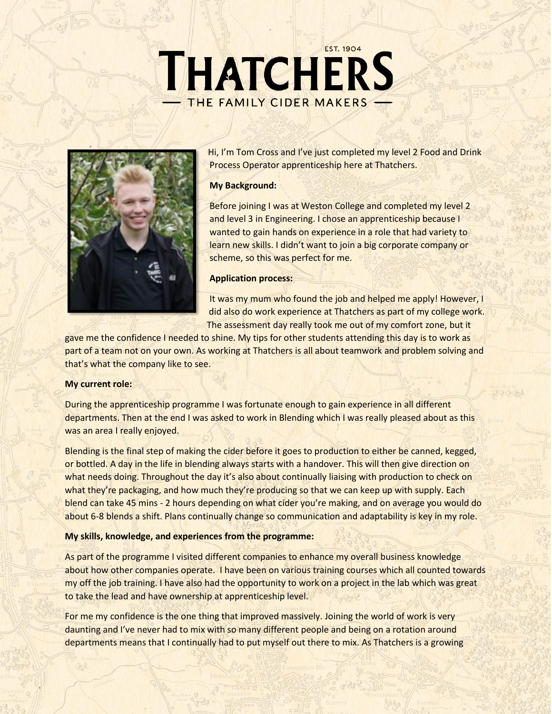# **EST. 1904** THATCHERS THE FAMILY CIDER MAKERS



Hi, I'm Tom Cross and I've just completed my level 2 Food and Drink Process Operator apprenticeship here at Thatchers.

#### **My Background:**

Before joining I was at Weston College and completed my level 2 and level 3 in Engineering. I chose an apprenticeship because I wanted to gain hands on experience in a role that had variety to learn new skills. I didn't want to join a big corporate company or scheme, so this was perfect for me.

## **Application process:**

It was my mum who found the job and helped me apply! However, I did also do work experience at Thatchers as part of my college work. The assessment day really took me out of my comfort zone, but it

gave me the confidence I needed to shine. My tips for other students attending this day is to work as part of a team not on your own. As working at Thatchers is all about teamwork and problem solving and that's what the company like to see.

## **My current role:**

During the apprenticeship programme I was fortunate enough to gain experience in all different departments. Then at the end I was asked to work in Blending which I was really pleased about as this was an area I really enjoyed.

Blending is the final step of making the cider before it goes to production to either be canned, kegged, or bottled. A day in the life in blending always starts with a handover. This will then give direction on what needs doing. Throughout the day it's also about continually liaising with production to check on what they're packaging, and how much they're producing so that we can keep up with supply. Each blend can take 45 mins - 2 hours depending on what cider you're making, and on average you would do about 6-8 blends a shift. Plans continually change so communication and adaptability is key in my role.

## **My skills, knowledge, and experiences from the programme:**

As part of the programme I visited different companies to enhance my overall business knowledge about how other companies operate. I have been on various training courses which all counted towards my off the job training. I have also had the opportunity to work on a project in the lab which was great to take the lead and have ownership at apprenticeship level.

For me my confidence is the one thing that improved massively. Joining the world of work is very daunting and I've never had to mix with so many different people and being on a rotation around departments means that I continually had to put myself out there to mix. As Thatchers is a growing